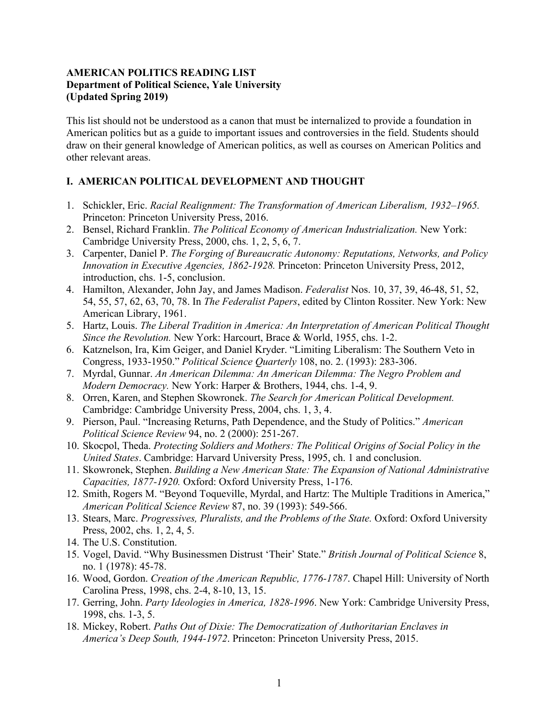### **AMERICAN POLITICS READING LIST Department of Political Science, Yale University (Updated Spring 2019)**

This list should not be understood as a canon that must be internalized to provide a foundation in American politics but as a guide to important issues and controversies in the field. Students should draw on their general knowledge of American politics, as well as courses on American Politics and other relevant areas.

### **I. AMERICAN POLITICAL DEVELOPMENT AND THOUGHT**

- 1. Schickler, Eric. *Racial Realignment: The Transformation of American Liberalism, 1932–1965.* Princeton: Princeton University Press, 2016.
- 2. Bensel, Richard Franklin. *The Political Economy of American Industrialization.* New York: Cambridge University Press, 2000, chs. 1, 2, 5, 6, 7.
- 3. Carpenter, Daniel P. *The Forging of Bureaucratic Autonomy: Reputations, Networks, and Policy Innovation in Executive Agencies, 1862-1928.* Princeton: Princeton University Press, 2012, introduction, chs. 1-5, conclusion.
- 4. Hamilton, Alexander, John Jay, and James Madison. *Federalist* Nos. 10, 37, 39, 46-48, 51, 52, 54, 55, 57, 62, 63, 70, 78. In *The Federalist Papers*, edited by Clinton Rossiter. New York: New American Library, 1961.
- 5. Hartz, Louis. *The Liberal Tradition in America: An Interpretation of American Political Thought Since the Revolution.* New York: Harcourt, Brace & World, 1955, chs. 1-2.
- 6. Katznelson, Ira, Kim Geiger, and Daniel Kryder. "Limiting Liberalism: The Southern Veto in Congress, 1933-1950." *Political Science Quarterly* 108, no. 2. (1993): 283-306.
- 7. Myrdal, Gunnar. *An American Dilemma: An American Dilemma: The Negro Problem and Modern Democracy.* New York: Harper & Brothers, 1944, chs. 1-4, 9.
- 8. Orren, Karen, and Stephen Skowronek. *The Search for American Political Development.* Cambridge: Cambridge University Press, 2004, chs. 1, 3, 4.
- 9. Pierson, Paul. "Increasing Returns, Path Dependence, and the Study of Politics." *American Political Science Review* 94, no. 2 (2000): 251-267.
- 10. Skocpol, Theda. *Protecting Soldiers and Mothers: The Political Origins of Social Policy in the United States*. Cambridge: Harvard University Press, 1995, ch. 1 and conclusion.
- 11. Skowronek, Stephen. *Building a New American State: The Expansion of National Administrative Capacities, 1877-1920.* Oxford: Oxford University Press, 1-176.
- 12. Smith, Rogers M. "Beyond Toqueville, Myrdal, and Hartz: The Multiple Traditions in America," *American Political Science Review* 87, no. 39 (1993): 549-566.
- 13. Stears, Marc. *Progressives, Pluralists, and the Problems of the State.* Oxford: Oxford University Press, 2002, chs. 1, 2, 4, 5.
- 14. The U.S. Constitution.
- 15. Vogel, David. "Why Businessmen Distrust 'Their' State." *British Journal of Political Science* 8, no. 1 (1978): 45-78.
- 16. Wood, Gordon. *Creation of the American Republic, 1776-1787*. Chapel Hill: University of North Carolina Press, 1998, chs. 2-4, 8-10, 13, 15.
- 17. Gerring, John. *Party Ideologies in America, 1828-1996*. New York: Cambridge University Press, 1998, chs. 1-3, 5.
- 18. Mickey, Robert. *Paths Out of Dixie: The Democratization of Authoritarian Enclaves in America's Deep South, 1944-1972*. Princeton: Princeton University Press, 2015.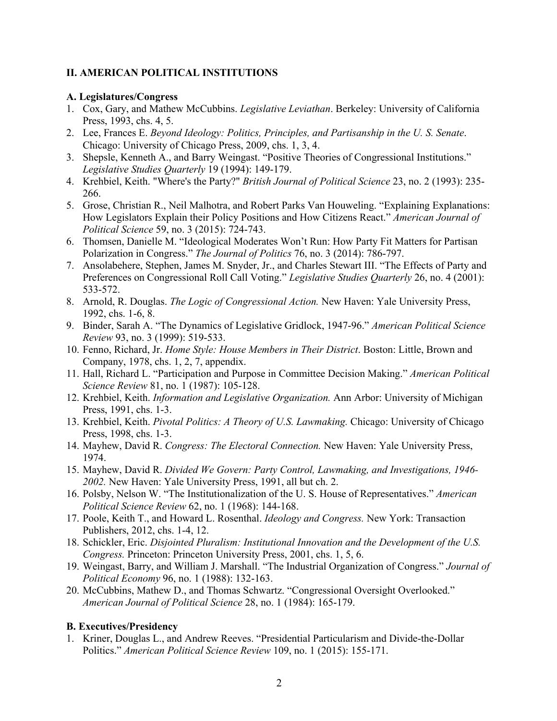# **II. AMERICAN POLITICAL INSTITUTIONS**

#### **A. Legislatures/Congress**

- 1. Cox, Gary, and Mathew McCubbins. *Legislative Leviathan*. Berkeley: University of California Press, 1993, chs. 4, 5.
- 2. Lee, Frances E. *Beyond Ideology: Politics, Principles, and Partisanship in the U. S. Senate*. Chicago: University of Chicago Press, 2009, chs. 1, 3, 4.
- 3. Shepsle, Kenneth A., and Barry Weingast. "Positive Theories of Congressional Institutions." *Legislative Studies Quarterly* 19 (1994): 149-179.
- 4. Krehbiel, Keith. "Where's the Party?" *British Journal of Political Science* 23, no. 2 (1993): 235- 266.
- 5. Grose, Christian R., Neil Malhotra, and Robert Parks Van Houweling. "Explaining Explanations: How Legislators Explain their Policy Positions and How Citizens React." *American Journal of Political Science* 59, no. 3 (2015): 724-743.
- 6. Thomsen, Danielle M. "Ideological Moderates Won't Run: How Party Fit Matters for Partisan Polarization in Congress." *The Journal of Politics* 76, no. 3 (2014): 786-797.
- 7. Ansolabehere, Stephen, James M. Snyder, Jr., and Charles Stewart III. "The Effects of Party and Preferences on Congressional Roll Call Voting." *Legislative Studies Quarterly* 26, no. 4 (2001): 533-572.
- 8. Arnold, R. Douglas. *The Logic of Congressional Action.* New Haven: Yale University Press, 1992, chs. 1-6, 8.
- 9. Binder, Sarah A. "The Dynamics of Legislative Gridlock, 1947-96." *American Political Science Review* 93, no. 3 (1999): 519-533.
- 10. Fenno, Richard, Jr. *Home Style: House Members in Their District*. Boston: Little, Brown and Company, 1978, chs. 1, 2, 7, appendix.
- 11. Hall, Richard L. "Participation and Purpose in Committee Decision Making." *American Political Science Review* 81, no. 1 (1987): 105-128.
- 12. Krehbiel, Keith. *Information and Legislative Organization.* Ann Arbor: University of Michigan Press, 1991, chs. 1-3.
- 13. Krehbiel, Keith. *Pivotal Politics: A Theory of U.S. Lawmaking.* Chicago: University of Chicago Press, 1998, chs. 1-3.
- 14. Mayhew, David R. *Congress: The Electoral Connection.* New Haven: Yale University Press, 1974.
- 15. Mayhew, David R. *Divided We Govern: Party Control, Lawmaking, and Investigations, 1946- 2002.* New Haven: Yale University Press, 1991, all but ch. 2.
- 16. Polsby, Nelson W. "The Institutionalization of the U. S. House of Representatives." *American Political Science Review* 62, no. 1 (1968): 144-168.
- 17. Poole, Keith T., and Howard L. Rosenthal. *Ideology and Congress.* New York: Transaction Publishers, 2012, chs. 1-4, 12.
- 18. Schickler, Eric. *Disjointed Pluralism: Institutional Innovation and the Development of the U.S. Congress.* Princeton: Princeton University Press, 2001, chs. 1, 5, 6.
- 19. Weingast, Barry, and William J. Marshall. "The Industrial Organization of Congress." *Journal of Political Economy* 96, no. 1 (1988): 132-163.
- 20. McCubbins, Mathew D., and Thomas Schwartz. "Congressional Oversight Overlooked." *American Journal of Political Science* 28, no. 1 (1984): 165-179.

### **B. Executives/Presidency**

1. Kriner, Douglas L., and Andrew Reeves. "Presidential Particularism and Divide-the-Dollar Politics." *American Political Science Review* 109, no. 1 (2015): 155-171.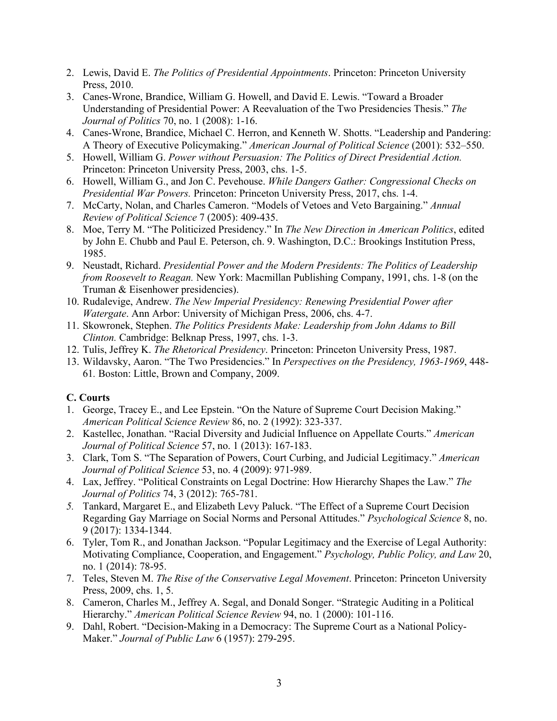- 2. Lewis, David E. *The Politics of Presidential Appointments*. Princeton: Princeton University Press, 2010.
- 3. Canes-Wrone, Brandice, William G. Howell, and David E. Lewis. "Toward a Broader Understanding of Presidential Power: A Reevaluation of the Two Presidencies Thesis." *The Journal of Politics* 70, no. 1 (2008): 1-16.
- 4. Canes-Wrone, Brandice, Michael C. Herron, and Kenneth W. Shotts. "Leadership and Pandering: A Theory of Executive Policymaking." *American Journal of Political Science* (2001): 532–550.
- 5. Howell, William G. *Power without Persuasion: The Politics of Direct Presidential Action.* Princeton: Princeton University Press, 2003, chs. 1-5.
- 6. Howell, William G., and Jon C. Pevehouse. *While Dangers Gather: Congressional Checks on Presidential War Powers.* Princeton: Princeton University Press, 2017, chs. 1-4.
- 7. McCarty, Nolan, and Charles Cameron. "Models of Vetoes and Veto Bargaining." *Annual Review of Political Science* 7 (2005): 409-435.
- 8. Moe, Terry M. "The Politicized Presidency." In *The New Direction in American Politics*, edited by John E. Chubb and Paul E. Peterson, ch. 9. Washington, D.C.: Brookings Institution Press, 1985.
- 9. Neustadt, Richard. *Presidential Power and the Modern Presidents: The Politics of Leadership from Roosevelt to Reagan.* New York: Macmillan Publishing Company, 1991, chs. 1-8 (on the Truman & Eisenhower presidencies).
- 10. Rudalevige, Andrew. *The New Imperial Presidency: Renewing Presidential Power after Watergate*. Ann Arbor: University of Michigan Press, 2006, chs. 4-7.
- 11. Skowronek, Stephen. *The Politics Presidents Make: Leadership from John Adams to Bill Clinton.* Cambridge: Belknap Press, 1997, chs. 1-3.
- 12. Tulis, Jeffrey K. *The Rhetorical Presidency*. Princeton: Princeton University Press, 1987.
- 13. Wildavsky, Aaron. "The Two Presidencies." In *Perspectives on the Presidency, 1963-1969*, 448- 61*.* Boston: Little, Brown and Company, 2009.

### **C. Courts**

- 1. George, Tracey E., and Lee Epstein. "On the Nature of Supreme Court Decision Making." *American Political Science Review* 86, no. 2 (1992): 323-337.
- 2. Kastellec, Jonathan. "Racial Diversity and Judicial Influence on Appellate Courts." *American Journal of Political Science* 57, no. 1 (2013): 167-183.
- 3. Clark, Tom S. "The Separation of Powers, Court Curbing, and Judicial Legitimacy." *American Journal of Political Science* 53, no. 4 (2009): 971-989.
- 4. Lax, Jeffrey. "Political Constraints on Legal Doctrine: How Hierarchy Shapes the Law." *The Journal of Politics* 74, 3 (2012): 765-781.
- *5.* Tankard, Margaret E., and Elizabeth Levy Paluck. "The Effect of a Supreme Court Decision Regarding Gay Marriage on Social Norms and Personal Attitudes." *Psychological Science* 8, no. 9 (2017): 1334-1344.
- 6. Tyler, Tom R., and Jonathan Jackson. "Popular Legitimacy and the Exercise of Legal Authority: Motivating Compliance, Cooperation, and Engagement." *Psychology, Public Policy, and Law* 20, no. 1 (2014): 78-95.
- 7. Teles, Steven M. *The Rise of the Conservative Legal Movement*. Princeton: Princeton University Press, 2009, chs. 1, 5.
- 8. Cameron, Charles M., Jeffrey A. Segal, and Donald Songer. "Strategic Auditing in a Political Hierarchy." *American Political Science Review* 94, no. 1 (2000): 101-116.
- 9. Dahl, Robert. "Decision-Making in a Democracy: The Supreme Court as a National Policy-Maker." *Journal of Public Law* 6 (1957): 279-295.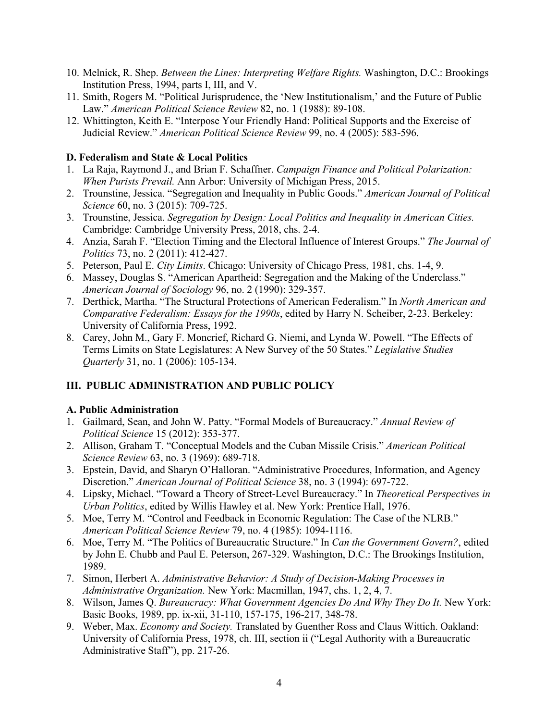- 10. Melnick, R. Shep. *Between the Lines: Interpreting Welfare Rights.* Washington, D.C.: Brookings Institution Press, 1994, parts I, III, and V.
- 11. Smith, Rogers M. "Political Jurisprudence, the 'New Institutionalism,' and the Future of Public Law." *American Political Science Review* 82, no. 1 (1988): 89-108.
- 12. Whittington, Keith E. "Interpose Your Friendly Hand: Political Supports and the Exercise of Judicial Review." *American Political Science Review* 99, no. 4 (2005): 583-596.

### **D. Federalism and State & Local Politics**

- 1. La Raja, Raymond J., and Brian F. Schaffner. *Campaign Finance and Political Polarization: When Purists Prevail.* Ann Arbor: University of Michigan Press, 2015.
- 2. Trounstine, Jessica. "Segregation and Inequality in Public Goods." *American Journal of Political Science* 60, no. 3 (2015): 709-725.
- 3. Trounstine, Jessica. *Segregation by Design: Local Politics and Inequality in American Cities.* Cambridge: Cambridge University Press, 2018, chs. 2-4.
- 4. Anzia, Sarah F. "Election Timing and the Electoral Influence of Interest Groups." *The Journal of Politics* 73, no. 2 (2011): 412-427.
- 5. Peterson, Paul E. *City Limits*. Chicago: University of Chicago Press, 1981, chs. 1-4, 9.
- 6. Massey, Douglas S. "American Apartheid: Segregation and the Making of the Underclass." *American Journal of Sociology* 96, no. 2 (1990): 329-357.
- 7. Derthick, Martha. "The Structural Protections of American Federalism." In *North American and Comparative Federalism: Essays for the 1990s*, edited by Harry N. Scheiber, 2-23. Berkeley: University of California Press, 1992.
- 8. Carey, John M., Gary F. Moncrief, Richard G. Niemi, and Lynda W. Powell. "The Effects of Terms Limits on State Legislatures: A New Survey of the 50 States." *Legislative Studies Quarterly* 31, no. 1 (2006): 105-134.

# **III. PUBLIC ADMINISTRATION AND PUBLIC POLICY**

### **A. Public Administration**

- 1. Gailmard, Sean, and John W. Patty. "Formal Models of Bureaucracy." *Annual Review of Political Science* 15 (2012): 353-377.
- 2. Allison, Graham T. "Conceptual Models and the Cuban Missile Crisis." *American Political Science Review* 63, no. 3 (1969): 689-718.
- 3. Epstein, David, and Sharyn O'Halloran. "Administrative Procedures, Information, and Agency Discretion." *American Journal of Political Science* 38, no. 3 (1994): 697-722.
- 4. Lipsky, Michael. "Toward a Theory of Street-Level Bureaucracy." In *Theoretical Perspectives in Urban Politics*, edited by Willis Hawley et al. New York: Prentice Hall, 1976.
- 5. Moe, Terry M. "Control and Feedback in Economic Regulation: The Case of the NLRB." *American Political Science Review* 79, no. 4 (1985): 1094-1116.
- 6. Moe, Terry M. "The Politics of Bureaucratic Structure." In *Can the Government Govern?*, edited by John E. Chubb and Paul E. Peterson, 267-329. Washington, D.C.: The Brookings Institution, 1989.
- 7. Simon, Herbert A. *Administrative Behavior: A Study of Decision-Making Processes in Administrative Organization.* New York: Macmillan, 1947, chs. 1, 2, 4, 7.
- 8. Wilson, James Q. *Bureaucracy: What Government Agencies Do And Why They Do It.* New York: Basic Books, 1989, pp. ix-xii, 31-110, 157-175, 196-217, 348-78.
- 9. Weber, Max. *Economy and Society.* Translated by Guenther Ross and Claus Wittich. Oakland: University of California Press, 1978, ch. III, section ii ("Legal Authority with a Bureaucratic Administrative Staff"), pp. 217-26.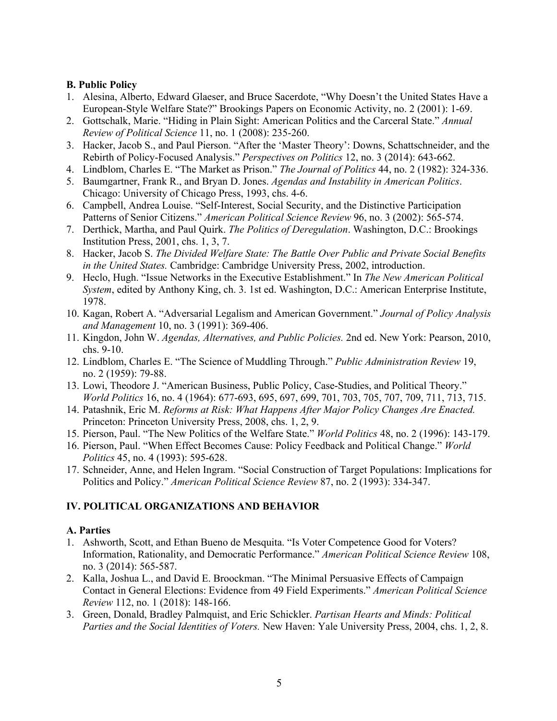#### **B. Public Policy**

- 1. Alesina, Alberto, Edward Glaeser, and Bruce Sacerdote, "Why Doesn't the United States Have a European-Style Welfare State?" Brookings Papers on Economic Activity, no. 2 (2001): 1-69.
- 2. Gottschalk, Marie. "Hiding in Plain Sight: American Politics and the Carceral State." *Annual Review of Political Science* 11, no. 1 (2008): 235-260.
- 3. Hacker, Jacob S., and Paul Pierson. "After the 'Master Theory': Downs, Schattschneider, and the Rebirth of Policy-Focused Analysis." *Perspectives on Politics* 12, no. 3 (2014): 643-662.
- 4. Lindblom, Charles E. "The Market as Prison." *The Journal of Politics* 44, no. 2 (1982): 324-336.
- 5. Baumgartner, Frank R., and Bryan D. Jones. *Agendas and Instability in American Politics*. Chicago: University of Chicago Press, 1993, chs. 4-6.
- 6. Campbell, Andrea Louise. "Self-Interest, Social Security, and the Distinctive Participation Patterns of Senior Citizens." *American Political Science Review* 96, no. 3 (2002): 565-574.
- 7. Derthick, Martha, and Paul Quirk. *The Politics of Deregulation*. Washington, D.C.: Brookings Institution Press, 2001, chs. 1, 3, 7.
- 8. Hacker, Jacob S. *The Divided Welfare State: The Battle Over Public and Private Social Benefits in the United States.* Cambridge: Cambridge University Press, 2002, introduction.
- 9. Heclo, Hugh. "Issue Networks in the Executive Establishment." In *The New American Political System*, edited by Anthony King, ch. 3. 1st ed. Washington, D.C.: American Enterprise Institute, 1978.
- 10. Kagan, Robert A. "Adversarial Legalism and American Government." *Journal of Policy Analysis and Management* 10, no. 3 (1991): 369-406.
- 11. Kingdon, John W. *Agendas, Alternatives, and Public Policies.* 2nd ed. New York: Pearson, 2010, chs. 9-10.
- 12. Lindblom, Charles E. "The Science of Muddling Through." *Public Administration Review* 19, no. 2 (1959): 79-88.
- 13. Lowi, Theodore J. "American Business, Public Policy, Case-Studies, and Political Theory." *World Politics* 16, no. 4 (1964): 677-693, 695, 697, 699, 701, 703, 705, 707, 709, 711, 713, 715.
- 14. Patashnik, Eric M. *Reforms at Risk: What Happens After Major Policy Changes Are Enacted.* Princeton: Princeton University Press, 2008, chs. 1, 2, 9.
- 15. Pierson, Paul. "The New Politics of the Welfare State." *World Politics* 48, no. 2 (1996): 143-179.
- 16. Pierson, Paul. "When Effect Becomes Cause: Policy Feedback and Political Change." *World Politics* 45, no. 4 (1993): 595-628.
- 17. Schneider, Anne, and Helen Ingram. "Social Construction of Target Populations: Implications for Politics and Policy." *American Political Science Review* 87, no. 2 (1993): 334-347.

# **IV. POLITICAL ORGANIZATIONS AND BEHAVIOR**

### **A. Parties**

- 1. Ashworth, Scott, and Ethan Bueno de Mesquita. "Is Voter Competence Good for Voters? Information, Rationality, and Democratic Performance." *American Political Science Review* 108, no. 3 (2014): 565-587.
- 2. Kalla, Joshua L., and David E. Broockman. "The Minimal Persuasive Effects of Campaign Contact in General Elections: Evidence from 49 Field Experiments." *American Political Science Review* 112, no. 1 (2018): 148-166.
- 3. Green, Donald, Bradley Palmquist, and Eric Schickler. *Partisan Hearts and Minds: Political Parties and the Social Identities of Voters.* New Haven: Yale University Press, 2004, chs. 1, 2, 8.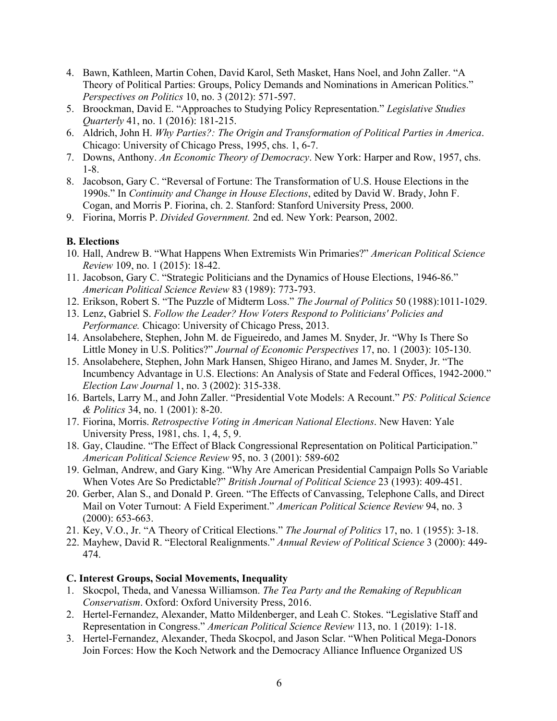- 4. Bawn, Kathleen, Martin Cohen, David Karol, Seth Masket, Hans Noel, and John Zaller. "A Theory of Political Parties: Groups, Policy Demands and Nominations in American Politics." *Perspectives on Politics* 10, no. 3 (2012): 571-597.
- 5. Broockman, David E. "Approaches to Studying Policy Representation." *Legislative Studies Quarterly* 41, no. 1 (2016): 181-215.
- 6. Aldrich, John H. *Why Parties?: The Origin and Transformation of Political Parties in America*. Chicago: University of Chicago Press, 1995, chs. 1, 6-7.
- 7. Downs, Anthony. *An Economic Theory of Democracy*. New York: Harper and Row, 1957, chs. 1-8.
- 8. Jacobson, Gary C. "Reversal of Fortune: The Transformation of U.S. House Elections in the 1990s." In *Continuity and Change in House Elections*, edited by David W. Brady, John F. Cogan, and Morris P. Fiorina, ch. 2. Stanford: Stanford University Press, 2000.
- 9. Fiorina, Morris P. *Divided Government.* 2nd ed. New York: Pearson, 2002.

### **B. Elections**

- 10. Hall, Andrew B. "What Happens When Extremists Win Primaries?" *American Political Science Review* 109, no. 1 (2015): 18-42.
- 11. Jacobson, Gary C. "Strategic Politicians and the Dynamics of House Elections, 1946-86." *American Political Science Review* 83 (1989): 773-793.
- 12. Erikson, Robert S. "The Puzzle of Midterm Loss." *The Journal of Politics* 50 (1988):1011-1029.
- 13. Lenz, Gabriel S. *Follow the Leader? How Voters Respond to Politicians' Policies and Performance.* Chicago: University of Chicago Press, 2013.
- 14. Ansolabehere, Stephen, John M. de Figueiredo, and James M. Snyder, Jr. "Why Is There So Little Money in U.S. Politics?" *Journal of Economic Perspectives* 17, no. 1 (2003): 105-130.
- 15. Ansolabehere, Stephen, John Mark Hansen, Shigeo Hirano, and James M. Snyder, Jr. "The Incumbency Advantage in U.S. Elections: An Analysis of State and Federal Offices, 1942-2000." *Election Law Journal* 1, no. 3 (2002): 315-338.
- 16. Bartels, Larry M., and John Zaller. "Presidential Vote Models: A Recount." *PS: Political Science & Politics* 34, no. 1 (2001): 8-20.
- 17. Fiorina, Morris. *Retrospective Voting in American National Elections*. New Haven: Yale University Press, 1981, chs. 1, 4, 5, 9.
- 18. Gay, Claudine. "The Effect of Black Congressional Representation on Political Participation." *American Political Science Review* 95, no. 3 (2001): 589-602
- 19. Gelman, Andrew, and Gary King. "Why Are American Presidential Campaign Polls So Variable When Votes Are So Predictable?" *British Journal of Political Science* 23 (1993): 409-451.
- 20. Gerber, Alan S., and Donald P. Green. "The Effects of Canvassing, Telephone Calls, and Direct Mail on Voter Turnout: A Field Experiment." *American Political Science Review* 94, no. 3 (2000): 653-663.
- 21. Key, V.O., Jr. "A Theory of Critical Elections." *The Journal of Politics* 17, no. 1 (1955): 3-18.
- 22. Mayhew, David R. "Electoral Realignments." *Annual Review of Political Science* 3 (2000): 449- 474.

### **C. Interest Groups, Social Movements, Inequality**

- 1. Skocpol, Theda, and Vanessa Williamson. *The Tea Party and the Remaking of Republican Conservatism*. Oxford: Oxford University Press, 2016.
- 2. Hertel-Fernandez, Alexander, Matto Mildenberger, and Leah C. Stokes. "Legislative Staff and Representation in Congress." *American Political Science Review* 113, no. 1 (2019): 1-18.
- 3. Hertel-Fernandez, Alexander, Theda Skocpol, and Jason Sclar. "When Political Mega-Donors Join Forces: How the Koch Network and the Democracy Alliance Influence Organized US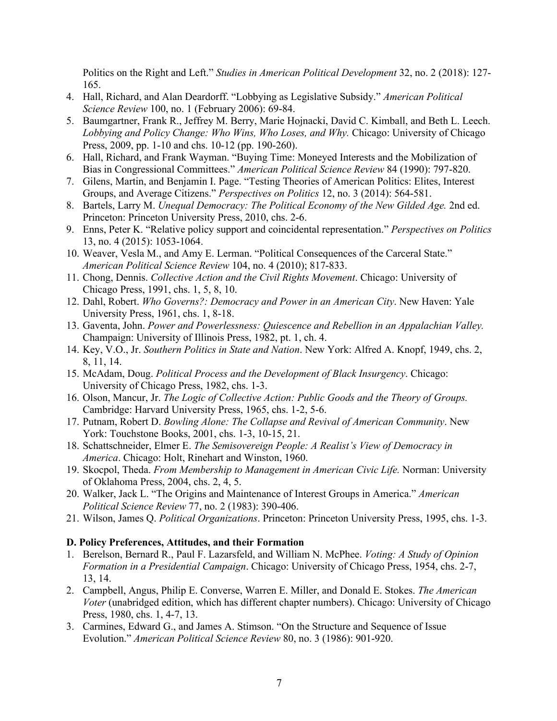Politics on the Right and Left." *Studies in American Political Development* 32, no. 2 (2018): 127- 165.

- 4. Hall, Richard, and Alan Deardorff. "Lobbying as Legislative Subsidy." *American Political Science Review* 100, no. 1 (February 2006): 69-84.
- 5. Baumgartner, Frank R., Jeffrey M. Berry, Marie Hojnacki, David C. Kimball, and Beth L. Leech. *Lobbying and Policy Change: Who Wins, Who Loses, and Why.* Chicago: University of Chicago Press, 2009, pp. 1-10 and chs. 10-12 (pp. 190-260).
- 6. Hall, Richard, and Frank Wayman. "Buying Time: Moneyed Interests and the Mobilization of Bias in Congressional Committees." *American Political Science Review* 84 (1990): 797-820.
- 7. Gilens, Martin, and Benjamin I. Page. "Testing Theories of American Politics: Elites, Interest Groups, and Average Citizens." *Perspectives on Politics* 12, no. 3 (2014): 564-581.
- 8. Bartels, Larry M. *Unequal Democracy: The Political Economy of the New Gilded Age.* 2nd ed. Princeton: Princeton University Press, 2010, chs. 2-6.
- 9. Enns, Peter K. "Relative policy support and coincidental representation." *Perspectives on Politics* 13, no. 4 (2015): 1053-1064.
- 10. Weaver, Vesla M., and Amy E. Lerman. "Political Consequences of the Carceral State." *American Political Science Review* 104, no. 4 (2010); 817-833.
- 11. Chong, Dennis. *Collective Action and the Civil Rights Movement*. Chicago: University of Chicago Press, 1991, chs. 1, 5, 8, 10.
- 12. Dahl, Robert. *Who Governs?: Democracy and Power in an American City*. New Haven: Yale University Press, 1961, chs. 1, 8-18.
- 13. Gaventa, John. *Power and Powerlessness: Quiescence and Rebellion in an Appalachian Valley.* Champaign: University of Illinois Press, 1982, pt. 1, ch. 4.
- 14. Key, V.O., Jr. *Southern Politics in State and Nation*. New York: Alfred A. Knopf, 1949, chs. 2, 8, 11, 14.
- 15. McAdam, Doug. *Political Process and the Development of Black Insurgency*. Chicago: University of Chicago Press, 1982, chs. 1-3.
- 16. Olson, Mancur, Jr. *The Logic of Collective Action: Public Goods and the Theory of Groups.* Cambridge: Harvard University Press, 1965, chs. 1-2, 5-6.
- 17. Putnam, Robert D. *Bowling Alone: The Collapse and Revival of American Community*. New York: Touchstone Books, 2001, chs. 1-3, 10-15, 21.
- 18. Schattschneider, Elmer E. *The Semisovereign People: A Realist's View of Democracy in America*. Chicago: Holt, Rinehart and Winston, 1960.
- 19. Skocpol, Theda. *From Membership to Management in American Civic Life.* Norman: University of Oklahoma Press, 2004, chs. 2, 4, 5.
- 20. Walker, Jack L. "The Origins and Maintenance of Interest Groups in America." *American Political Science Review* 77, no. 2 (1983): 390-406.
- 21. Wilson, James Q. *Political Organizations*. Princeton: Princeton University Press, 1995, chs. 1-3.

#### **D. Policy Preferences, Attitudes, and their Formation**

- 1. Berelson, Bernard R., Paul F. Lazarsfeld, and William N. McPhee. *Voting: A Study of Opinion Formation in a Presidential Campaign*. Chicago: University of Chicago Press, 1954, chs. 2-7, 13, 14.
- 2. Campbell, Angus, Philip E. Converse, Warren E. Miller, and Donald E. Stokes. *The American Voter* (unabridged edition, which has different chapter numbers). Chicago: University of Chicago Press, 1980, chs. 1, 4-7, 13.
- 3. Carmines, Edward G., and James A. Stimson. "On the Structure and Sequence of Issue Evolution." *American Political Science Review* 80, no. 3 (1986): 901-920.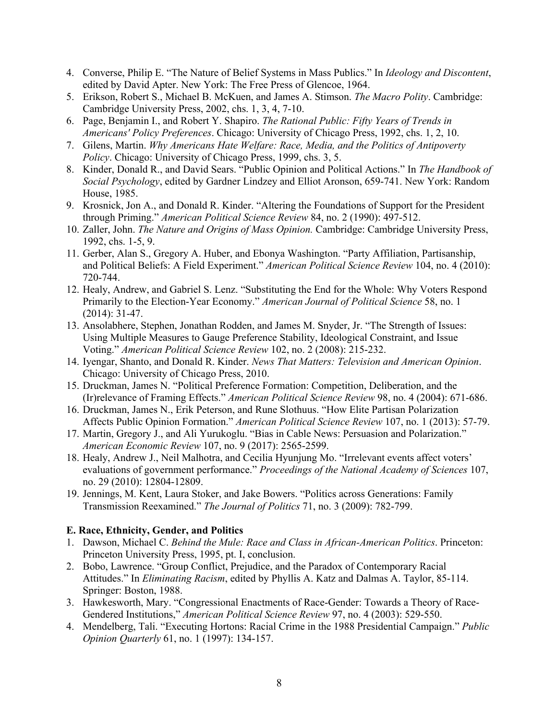- 4. Converse, Philip E. "The Nature of Belief Systems in Mass Publics." In *Ideology and Discontent*, edited by David Apter. New York: The Free Press of Glencoe, 1964.
- 5. Erikson, Robert S., Michael B. McKuen, and James A. Stimson. *The Macro Polity*. Cambridge: Cambridge University Press, 2002, chs. 1, 3, 4, 7-10.
- 6. Page, Benjamin I., and Robert Y. Shapiro. *The Rational Public: Fifty Years of Trends in Americans' Policy Preferences*. Chicago: University of Chicago Press, 1992, chs. 1, 2, 10.
- 7. Gilens, Martin. *Why Americans Hate Welfare: Race, Media, and the Politics of Antipoverty Policy*. Chicago: University of Chicago Press, 1999, chs. 3, 5.
- 8. Kinder, Donald R., and David Sears. "Public Opinion and Political Actions." In *The Handbook of Social Psychology*, edited by Gardner Lindzey and Elliot Aronson, 659-741. New York: Random House, 1985.
- 9. Krosnick, Jon A., and Donald R. Kinder. "Altering the Foundations of Support for the President through Priming." *American Political Science Review* 84, no. 2 (1990): 497-512.
- 10. Zaller, John. *The Nature and Origins of Mass Opinion.* Cambridge: Cambridge University Press, 1992, chs. 1-5, 9.
- 11. Gerber, Alan S., Gregory A. Huber, and Ebonya Washington. "Party Affiliation, Partisanship, and Political Beliefs: A Field Experiment." *American Political Science Review* 104, no. 4 (2010): 720-744.
- 12. Healy, Andrew, and Gabriel S. Lenz. "Substituting the End for the Whole: Why Voters Respond Primarily to the Election-Year Economy." *American Journal of Political Science* 58, no. 1 (2014): 31-47.
- 13. Ansolabhere, Stephen, Jonathan Rodden, and James M. Snyder, Jr. "The Strength of Issues: Using Multiple Measures to Gauge Preference Stability, Ideological Constraint, and Issue Voting." *American Political Science Review* 102, no. 2 (2008): 215-232.
- 14. Iyengar, Shanto, and Donald R. Kinder. *News That Matters: Television and American Opinion*. Chicago: University of Chicago Press, 2010.
- 15. Druckman, James N. "Political Preference Formation: Competition, Deliberation, and the (Ir)relevance of Framing Effects." *American Political Science Review* 98, no. 4 (2004): 671-686.
- 16. Druckman, James N., Erik Peterson, and Rune Slothuus. "How Elite Partisan Polarization Affects Public Opinion Formation." *American Political Science Review* 107, no. 1 (2013): 57-79.
- 17. Martin, Gregory J., and Ali Yurukoglu. "Bias in Cable News: Persuasion and Polarization." *American Economic Review* 107, no. 9 (2017): 2565-2599.
- 18. Healy, Andrew J., Neil Malhotra, and Cecilia Hyunjung Mo. "Irrelevant events affect voters' evaluations of government performance." *Proceedings of the National Academy of Sciences* 107, no. 29 (2010): 12804-12809.
- 19. Jennings, M. Kent, Laura Stoker, and Jake Bowers. "Politics across Generations: Family Transmission Reexamined." *The Journal of Politics* 71, no. 3 (2009): 782-799.

# **E. Race, Ethnicity, Gender, and Politics**

- 1. Dawson, Michael C. *Behind the Mule: Race and Class in African-American Politics*. Princeton: Princeton University Press, 1995, pt. I, conclusion.
- 2. Bobo, Lawrence. "Group Conflict, Prejudice, and the Paradox of Contemporary Racial Attitudes." In *Eliminating Racism*, edited by Phyllis A. Katz and Dalmas A. Taylor, 85-114. Springer: Boston, 1988.
- 3. Hawkesworth, Mary. "Congressional Enactments of Race-Gender: Towards a Theory of Race-Gendered Institutions," *American Political Science Review* 97, no. 4 (2003): 529-550.
- 4. Mendelberg, Tali. "Executing Hortons: Racial Crime in the 1988 Presidential Campaign." *Public Opinion Quarterly* 61, no. 1 (1997): 134-157.